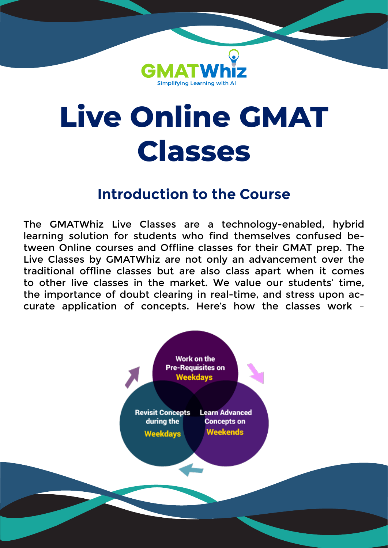

# **Live Online GMAT Classes**

### **Introduction to the Course**

The GMATWhiz Live Classes are a technology-enabled, hybrid learning solution for students who find themselves confused between Online courses and Offline classes for their GMAT prep. The Live Classes by GMATWhiz are not only an advancement over the traditional offline classes but are also class apart when it comes to other live classes in the market. We value our students' time, the importance of doubt clearing in real-time, and stress upon accurate application of concepts. Here's how the classes work –

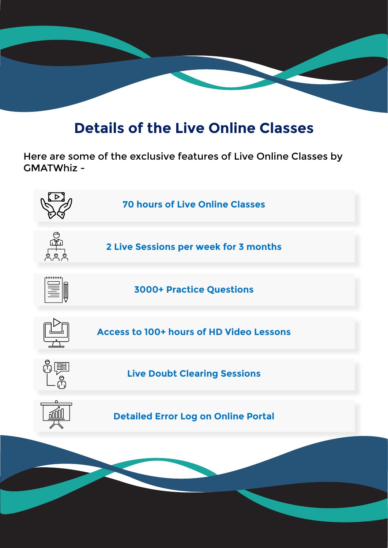### **Details of the Live Online Classes**

Here are some of the exclusive features of Live Online Classes by GMATWhiz -

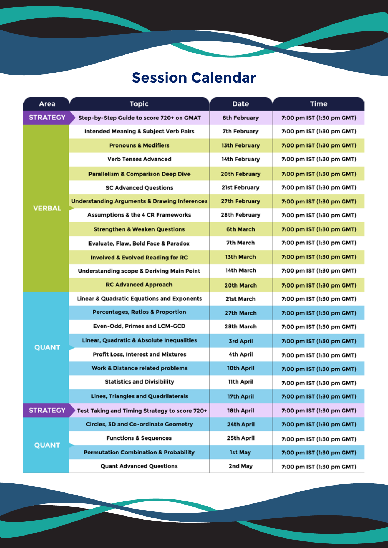### **Session Calendar**

| Area            | <b>Topic</b>                                            | <b>Date</b>          | <b>Time</b>               |
|-----------------|---------------------------------------------------------|----------------------|---------------------------|
| <b>STRATEGY</b> | Step-by-Step Guide to score 720+ on GMAT                | <b>6th February</b>  | 7:00 pm IST (1:30 pm GMT) |
| <b>VERBAL</b>   | <b>Intended Meaning &amp; Subject Verb Pairs</b>        | <b>7th February</b>  | 7:00 pm IST (1:30 pm GMT) |
|                 | <b>Pronouns &amp; Modifiers</b>                         | 13th February        | 7:00 pm IST (1:30 pm GMT) |
|                 | <b>Verb Tenses Advanced</b>                             | 14th February        | 7:00 pm IST (1:30 pm GMT) |
|                 | <b>Parallelism &amp; Comparison Deep Dive</b>           | <b>20th February</b> | 7:00 pm IST (1:30 pm GMT) |
|                 | <b>SC Advanced Questions</b>                            | 21st February        | 7:00 pm IST (1:30 pm GMT) |
|                 | <b>Understanding Arguments &amp; Drawing Inferences</b> | 27th February        | 7:00 pm IST (1:30 pm GMT) |
|                 | <b>Assumptions &amp; the 4 CR Frameworks</b>            | 28th February        | 7:00 pm IST (1:30 pm GMT) |
|                 | <b>Strengthen &amp; Weaken Questions</b>                | <b>6th March</b>     | 7:00 pm IST (1:30 pm GMT) |
|                 | Evaluate, Flaw, Bold Face & Paradox                     | 7th March            | 7:00 pm IST (1:30 pm GMT) |
|                 | <b>Involved &amp; Evolved Reading for RC</b>            | 13th March           | 7:00 pm IST (1:30 pm GMT) |
|                 | Understanding scope & Deriving Main Point               | 14th March           | 7:00 pm IST (1:30 pm GMT) |
|                 | <b>RC Advanced Approach</b>                             | 20th March           | 7:00 pm IST (1:30 pm GMT) |
| <b>QUANT</b>    | <b>Linear &amp; Quadratic Equations and Exponents</b>   | 21st March           | 7:00 pm IST (1:30 pm GMT) |
|                 | <b>Percentages, Ratios &amp; Proportion</b>             | 27th March           | 7:00 pm IST (1:30 pm GMT) |
|                 | Even-Odd, Primes and LCM-GCD                            | 28th March           | 7:00 pm IST (1:30 pm GMT) |
|                 | Linear, Quadratic & Absolute Inequalities               | <b>3rd April</b>     | 7:00 pm IST (1:30 pm GMT) |
|                 | <b>Profit Loss, Interest and Mixtures</b>               | 4th April            | 7:00 pm IST (1:30 pm GMT) |
|                 | <b>Work &amp; Distance related problems</b>             | 10th April           | 7:00 pm IST (1:30 pm GMT) |
|                 | <b>Statistics and Divisibility</b>                      | 11th April           | 7:00 pm IST (1:30 pm GMT) |
|                 | <b>Lines, Triangles and Quadrilaterals</b>              | 17th April           | 7:00 pm IST (1:30 pm GMT) |
| <b>STRATEGY</b> | Test Taking and Timing Strategy to score 720+           | 18th April           | 7:00 pm IST (1:30 pm GMT) |
| <b>QUANT</b>    | <b>Circles, 3D and Co-ordinate Geometry</b>             | 24th April           | 7:00 pm IST (1:30 pm GMT) |
|                 | <b>Functions &amp; Sequences</b>                        | 25th April           | 7:00 pm IST (1:30 pm GMT) |
|                 | <b>Permutation Combination &amp; Probability</b>        | <b>1st May</b>       | 7:00 pm IST (1:30 pm GMT) |
|                 | <b>Quant Advanced Questions</b>                         | 2nd May              | 7:00 pm IST (1:30 pm GMT) |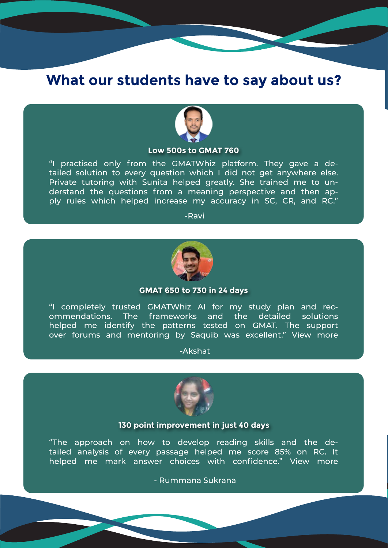### **What our students have to say about us?**



#### **Low 500s to GMAT 760**

"I practised only from the GMATWhiz platform. They gave a detailed solution to every question which I did not get anywhere else. Private tutoring with Sunita helped greatly. She trained me to understand the questions from a meaning perspective and then apply rules which helped increase my accuracy in SC, CR, and RC."

#### -Ravi



#### **GMAT 650 to 730 in 24 days**

"I completely trusted GMATWhiz AI for my study plan and recommendations. The frameworks and the detailed solutions helped me identify the patterns tested on GMAT. The support over forums and mentoring by Saquib was excellent." View more

### -Akshat



#### **130 point improvement in just 40 days**

"The approach on how to develop reading skills and the detailed analysis of every passage helped me score 85% on RC. It helped me mark answer choices with confidence." View more

- Rummana Sukrana